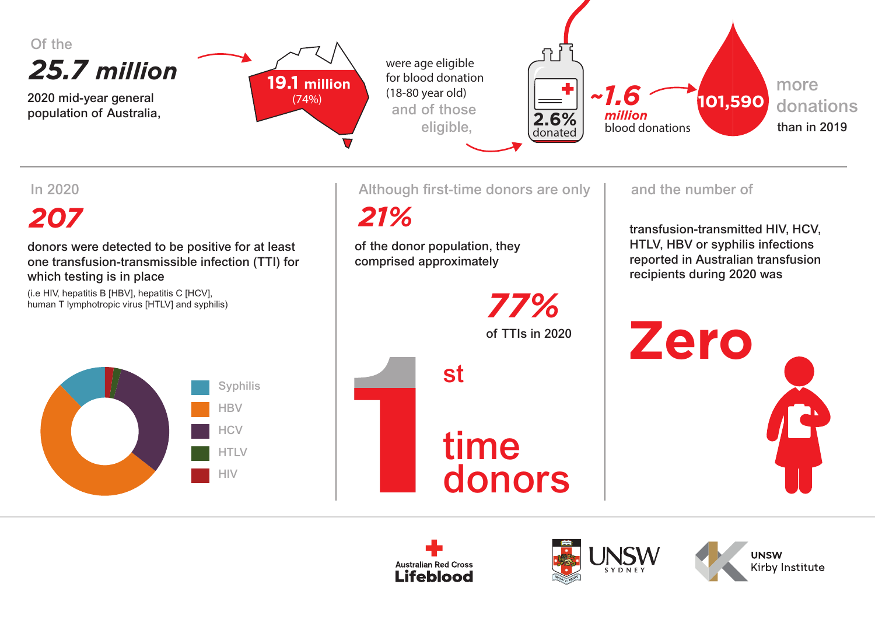

 *21%*

# *207*

donors were detected to be positive for at least one transfusion-transmissible infection (TTI) for which testing is in place

(i.e HIV, hepatitis B [HBV], hepatitis C [HCV], human T lymphotropic virus [HTLV] and syphilis)





of the donor population, they comprised approximately

In 2020 **In 2020** Although first-time donors are only and the number of

transfusion-transmitted HIV, HCV, HTLV, HBV or syphilis infections reported in Australian transfusion recipients during 2020 was

**Zero**





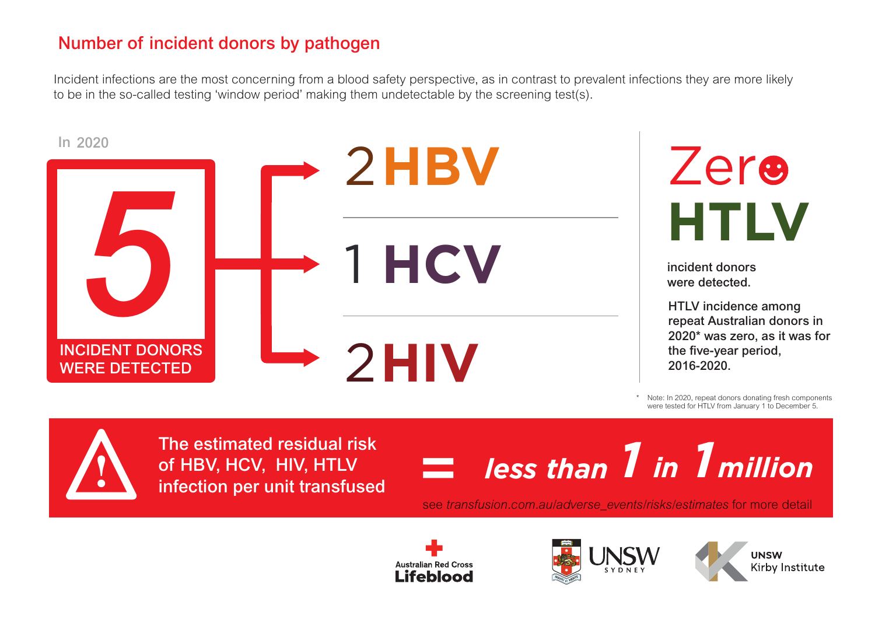### Number of incident donors by pathogen

Incident infections are the most concerning from a blood safety perspective, as in contrast to prevalent infections they are more likely to be in the so-called testing 'window period' making them undetectable by the screening test(s).



Note: In 2020, repeat donors donating fresh components were tested for HTLV from January 1 to December 5.

The estimated residual risk of HBV, HCV, HIV, HTLV infection per unit transfused

**!**



see *transfusion.com.au/adverse\_events/risks/estimates* for more detail